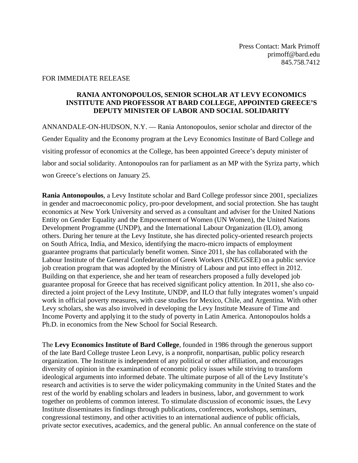## FOR IMMEDIATE RELEASE

## **RANIA ANTONOPOULOS, SENIOR SCHOLAR AT LEVY ECONOMICS INSTITUTE AND PROFESSOR AT BARD COLLEGE, APPOINTED GREECE'S DEPUTY MINISTER OF LABOR AND SOCIAL SOLIDARITY**

ANNANDALE-ON-HUDSON, N.Y. — Rania Antonopoulos, senior scholar and director of the Gender Equality and the Economy program at the Levy Economics Institute of Bard College and visiting professor of economics at the College, has been appointed Greece's deputy minister of labor and social solidarity. Antonopoulos ran for parliament as an MP with the Syriza party, which won Greece's elections on January 25.

**Rania Antonopoulos**, a Levy Institute scholar and Bard College professor since 2001, specializes in gender and macroeconomic policy, pro-poor development, and social protection. She has taught economics at New York University and served as a consultant and adviser for the United Nations Entity on Gender Equality and the Empowerment of Women (UN Women), the United Nations Development Programme (UNDP), and the International Labour Organization (ILO), among others. During her tenure at the Levy Institute, she has directed policy-oriented research projects on South Africa, India, and Mexico, identifying the macro-micro impacts of employment guarantee programs that particularly benefit women. Since 2011, she has collaborated with the Labour Institute of the General Confederation of Greek Workers (INE/GSEE) on a public service job creation program that was adopted by the Ministry of Labour and put into effect in 2012. Building on that experience, she and her team of researchers proposed a fully developed job guarantee proposal for Greece that has received significant policy attention. In 2011, she also codirected a joint project of the Levy Institute, UNDP, and ILO that fully integrates women's unpaid work in official poverty measures, with case studies for Mexico, Chile, and Argentina. With other Levy scholars, she was also involved in developing the Levy Institute Measure of Time and Income Poverty and applying it to the study of poverty in Latin America. Antonopoulos holds a Ph.D. in economics from the New School for Social Research.

The **Levy Economics Institute of Bard College**, founded in 1986 through the generous support of the late Bard College trustee Leon Levy, is a nonprofit, nonpartisan, public policy research organization. The Institute is independent of any political or other affiliation, and encourages diversity of opinion in the examination of economic policy issues while striving to transform ideological arguments into informed debate. The ultimate purpose of all of the Levy Institute's research and activities is to serve the wider policymaking community in the United States and the rest of the world by enabling scholars and leaders in business, labor, and government to work together on problems of common interest. To stimulate discussion of economic issues, the Levy Institute disseminates its findings through publications, conferences, workshops, seminars, congressional testimony, and other activities to an international audience of public officials, private sector executives, academics, and the general public. An annual conference on the state of